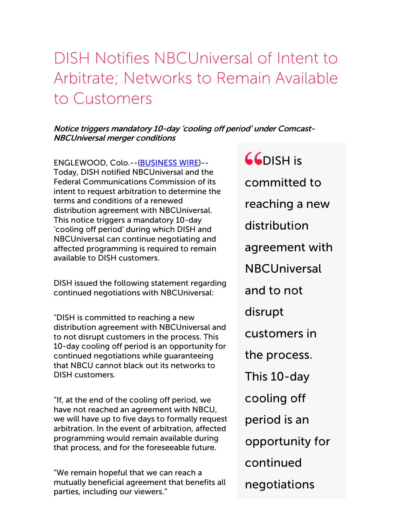## DISH Notifies NBCUniversal of Intent to Arbitrate; Networks to Remain Available to Customers

## Notice triggers mandatory 10-day 'cooling off period' under Comcast-NBCUniversal merger conditions

ENGLEWOOD, Colo.--[\(BUSINESS](http://www.businesswire.com/) WIRE)-- Today, DISH notified NBCUniversal and the Federal Communications Commission of its intent to request arbitration to determine the terms and conditions of a renewed distribution agreement with NBCUniversal. This notice triggers a mandatory 10-day 'cooling off period' during which DISH and NBCUniversal can continue negotiating and affected programming is required to remain available to DISH customers.

DISH issued the following statement regarding continued negotiations with NBCUniversal:

"DISH is committed to reaching a new distribution agreement with NBCUniversal and to not disrupt customers in the process. This 10-day cooling off period is an opportunity for continued negotiations while guaranteeing that NBCU cannot black out its networks to DISH customers.

"If, at the end of the cooling off period, we have not reached an agreement with NBCU, we will have up to five days to formally request arbitration. In the event of arbitration, affected programming would remain available during that process, and for the foreseeable future.

"We remain hopeful that we can reach a mutually beneficial agreement that benefits all parties, including our viewers."

 $G$ DISH is committed to reaching a new distribution agreement with **NBCUniversal** and to not disrupt customers in the process. This 10-day cooling off period is an opportunity for continued negotiations